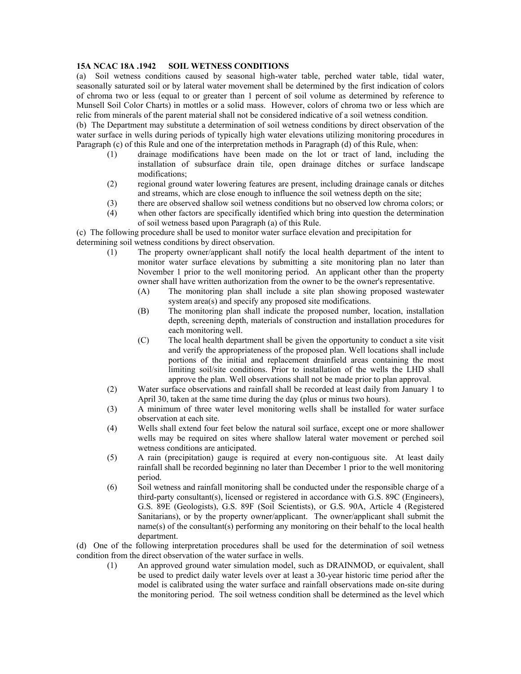## **15A NCAC 18A .1942 SOIL WETNESS CONDITIONS**

(a) Soil wetness conditions caused by seasonal high-water table, perched water table, tidal water, seasonally saturated soil or by lateral water movement shall be determined by the first indication of colors of chroma two or less (equal to or greater than 1 percent of soil volume as determined by reference to Munsell Soil Color Charts) in mottles or a solid mass. However, colors of chroma two or less which are relic from minerals of the parent material shall not be considered indicative of a soil wetness condition.

(b) The Department may substitute a determination of soil wetness conditions by direct observation of the water surface in wells during periods of typically high water elevations utilizing monitoring procedures in Paragraph (c) of this Rule and one of the interpretation methods in Paragraph (d) of this Rule, when:

- (1) drainage modifications have been made on the lot or tract of land, including the installation of subsurface drain tile, open drainage ditches or surface landscape modifications;
- (2) regional ground water lowering features are present, including drainage canals or ditches and streams, which are close enough to influence the soil wetness depth on the site;
- (3) there are observed shallow soil wetness conditions but no observed low chroma colors; or
- (4) when other factors are specifically identified which bring into question the determination of soil wetness based upon Paragraph (a) of this Rule.

(c) The following procedure shall be used to monitor water surface elevation and precipitation for determining soil wetness conditions by direct observation.

- (1) The property owner/applicant shall notify the local health department of the intent to monitor water surface elevations by submitting a site monitoring plan no later than November 1 prior to the well monitoring period. An applicant other than the property owner shall have written authorization from the owner to be the owner's representative.
	- (A) The monitoring plan shall include a site plan showing proposed wastewater system area(s) and specify any proposed site modifications.
	- (B) The monitoring plan shall indicate the proposed number, location, installation depth, screening depth, materials of construction and installation procedures for each monitoring well.
	- (C) The local health department shall be given the opportunity to conduct a site visit and verify the appropriateness of the proposed plan. Well locations shall include portions of the initial and replacement drainfield areas containing the most limiting soil/site conditions. Prior to installation of the wells the LHD shall approve the plan. Well observations shall not be made prior to plan approval.
- (2) Water surface observations and rainfall shall be recorded at least daily from January 1 to April 30, taken at the same time during the day (plus or minus two hours).
- (3) A minimum of three water level monitoring wells shall be installed for water surface observation at each site.
- (4) Wells shall extend four feet below the natural soil surface, except one or more shallower wells may be required on sites where shallow lateral water movement or perched soil wetness conditions are anticipated.
- (5) A rain (precipitation) gauge is required at every non-contiguous site. At least daily rainfall shall be recorded beginning no later than December 1 prior to the well monitoring period.
- (6) Soil wetness and rainfall monitoring shall be conducted under the responsible charge of a third-party consultant(s), licensed or registered in accordance with G.S. 89C (Engineers), G.S. 89E (Geologists), G.S. 89F (Soil Scientists), or G.S. 90A, Article 4 (Registered Sanitarians), or by the property owner/applicant. The owner/applicant shall submit the name(s) of the consultant(s) performing any monitoring on their behalf to the local health department.

(d) One of the following interpretation procedures shall be used for the determination of soil wetness condition from the direct observation of the water surface in wells.

(1) An approved ground water simulation model, such as DRAINMOD, or equivalent, shall be used to predict daily water levels over at least a 30-year historic time period after the model is calibrated using the water surface and rainfall observations made on-site during the monitoring period. The soil wetness condition shall be determined as the level which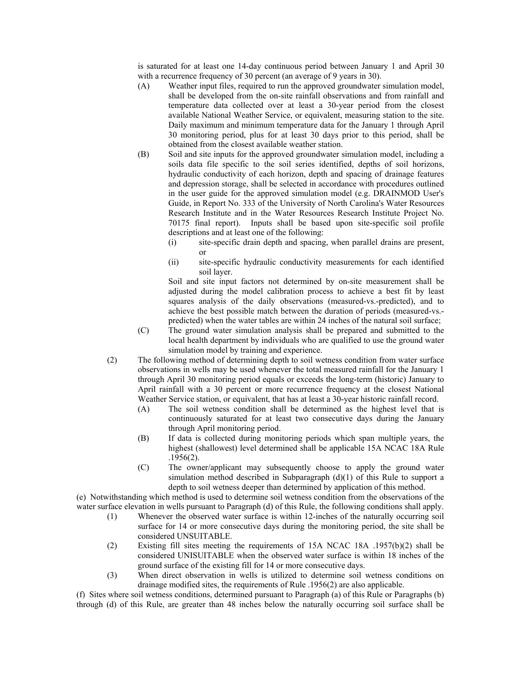is saturated for at least one 14-day continuous period between January 1 and April 30 with a recurrence frequency of 30 percent (an average of 9 years in 30).

- (A) Weather input files, required to run the approved groundwater simulation model, shall be developed from the on-site rainfall observations and from rainfall and temperature data collected over at least a 30-year period from the closest available National Weather Service, or equivalent, measuring station to the site. Daily maximum and minimum temperature data for the January 1 through April 30 monitoring period, plus for at least 30 days prior to this period, shall be obtained from the closest available weather station.
- (B) Soil and site inputs for the approved groundwater simulation model, including a soils data file specific to the soil series identified, depths of soil horizons, hydraulic conductivity of each horizon, depth and spacing of drainage features and depression storage, shall be selected in accordance with procedures outlined in the user guide for the approved simulation model (e.g. DRAINMOD User's Guide, in Report No. 333 of the University of North Carolina's Water Resources Research Institute and in the Water Resources Research Institute Project No. 70175 final report). Inputs shall be based upon site-specific soil profile descriptions and at least one of the following:
	- (i) site-specific drain depth and spacing, when parallel drains are present, or
	- (ii) site-specific hydraulic conductivity measurements for each identified soil layer.

Soil and site input factors not determined by on-site measurement shall be adjusted during the model calibration process to achieve a best fit by least squares analysis of the daily observations (measured-vs.-predicted), and to achieve the best possible match between the duration of periods (measured-vs. predicted) when the water tables are within 24 inches of the natural soil surface;

- (C) The ground water simulation analysis shall be prepared and submitted to the local health department by individuals who are qualified to use the ground water simulation model by training and experience.
- (2) The following method of determining depth to soil wetness condition from water surface observations in wells may be used whenever the total measured rainfall for the January 1 through April 30 monitoring period equals or exceeds the long-term (historic) January to April rainfall with a 30 percent or more recurrence frequency at the closest National Weather Service station, or equivalent, that has at least a 30-year historic rainfall record.
	- (A) The soil wetness condition shall be determined as the highest level that is continuously saturated for at least two consecutive days during the January through April monitoring period.
	- (B) If data is collected during monitoring periods which span multiple years, the highest (shallowest) level determined shall be applicable 15A NCAC 18A Rule .1956(2).
	- (C) The owner/applicant may subsequently choose to apply the ground water simulation method described in Subparagraph (d)(1) of this Rule to support a depth to soil wetness deeper than determined by application of this method.

(e) Notwithstanding which method is used to determine soil wetness condition from the observations of the water surface elevation in wells pursuant to Paragraph (d) of this Rule, the following conditions shall apply.

- (1) Whenever the observed water surface is within 12-inches of the naturally occurring soil surface for 14 or more consecutive days during the monitoring period, the site shall be considered UNSUITABLE.
- (2) Existing fill sites meeting the requirements of 15A NCAC 18A .1957(b)(2) shall be considered UNISUITABLE when the observed water surface is within 18 inches of the ground surface of the existing fill for 14 or more consecutive days.
- (3) When direct observation in wells is utilized to determine soil wetness conditions on drainage modified sites, the requirements of Rule .1956(2) are also applicable.

(f) Sites where soil wetness conditions, determined pursuant to Paragraph (a) of this Rule or Paragraphs (b) through (d) of this Rule, are greater than 48 inches below the naturally occurring soil surface shall be